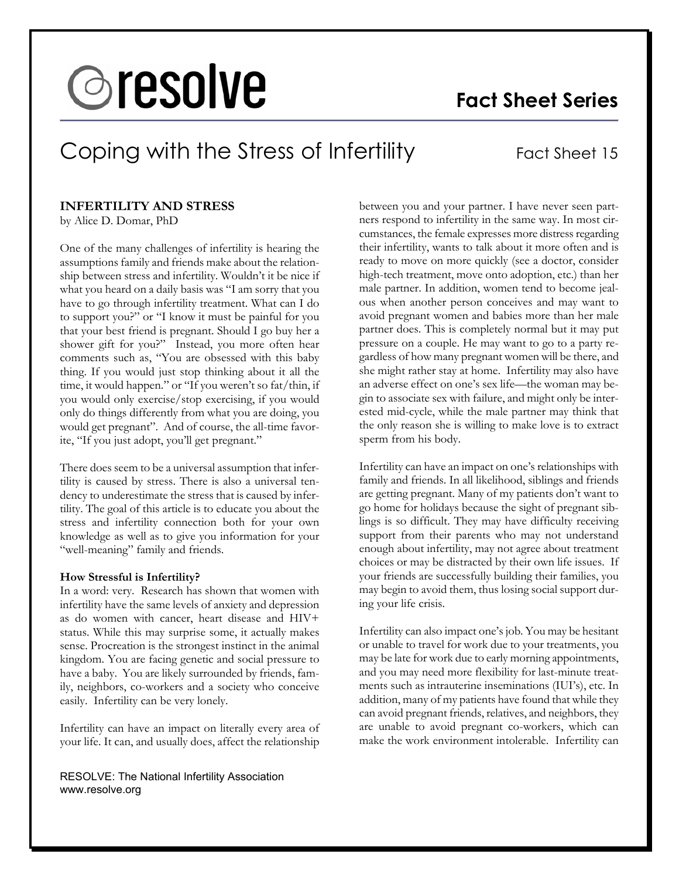# **&resolve**

# **Fact Sheet Series**

# Coping with the Stress of Infertility Fact Sheet 15

# **INFERTILITY AND STRESS**

by Alice D. Domar, PhD

One of the many challenges of infertility is hearing the assumptions family and friends make about the relationship between stress and infertility. Wouldn't it be nice if what you heard on a daily basis was "I am sorry that you have to go through infertility treatment. What can I do to support you?" or "I know it must be painful for you that your best friend is pregnant. Should I go buy her a shower gift for you?" Instead, you more often hear comments such as, "You are obsessed with this baby thing. If you would just stop thinking about it all the time, it would happen." or "If you weren't so fat/thin, if you would only exercise/stop exercising, if you would only do things differently from what you are doing, you would get pregnant". And of course, the all-time favorite, "If you just adopt, you'll get pregnant."

There does seem to be a universal assumption that infertility is caused by stress. There is also a universal tendency to underestimate the stress that is caused by infertility. The goal of this article is to educate you about the stress and infertility connection both for your own knowledge as well as to give you information for your "well-meaning" family and friends.

### **How Stressful is Infertility?**

In a word: very. Research has shown that women with infertility have the same levels of anxiety and depression as do women with cancer, heart disease and HIV+ status. While this may surprise some, it actually makes sense. Procreation is the strongest instinct in the animal kingdom. You are facing genetic and social pressure to have a baby. You are likely surrounded by friends, family, neighbors, co-workers and a society who conceive easily. Infertility can be very lonely.

Infertility can have an impact on literally every area of your life. It can, and usually does, affect the relationship

RESOLVE: The National Infertility Association www.resolve.org

between you and your partner. I have never seen partners respond to infertility in the same way. In most circumstances, the female expresses more distress regarding their infertility, wants to talk about it more often and is ready to move on more quickly (see a doctor, consider high-tech treatment, move onto adoption, etc.) than her male partner. In addition, women tend to become jealous when another person conceives and may want to avoid pregnant women and babies more than her male partner does. This is completely normal but it may put pressure on a couple. He may want to go to a party regardless of how many pregnant women will be there, and she might rather stay at home. Infertility may also have an adverse effect on one's sex life—the woman may begin to associate sex with failure, and might only be interested mid-cycle, while the male partner may think that the only reason she is willing to make love is to extract sperm from his body.

Infertility can have an impact on one's relationships with family and friends. In all likelihood, siblings and friends are getting pregnant. Many of my patients don't want to go home for holidays because the sight of pregnant siblings is so difficult. They may have difficulty receiving support from their parents who may not understand enough about infertility, may not agree about treatment choices or may be distracted by their own life issues. If your friends are successfully building their families, you may begin to avoid them, thus losing social support during your life crisis.

Infertility can also impact one's job. You may be hesitant or unable to travel for work due to your treatments, you may be late for work due to early morning appointments, and you may need more flexibility for last-minute treatments such as intrauterine inseminations (IUI's), etc. In addition, many of my patients have found that while they can avoid pregnant friends, relatives, and neighbors, they are unable to avoid pregnant co-workers, which can make the work environment intolerable. Infertility can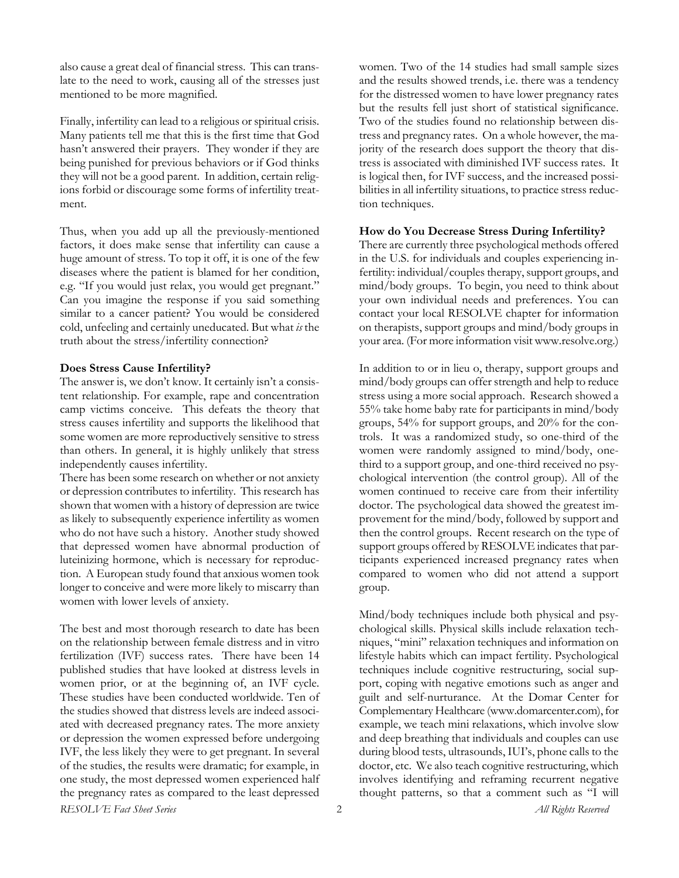also cause a great deal of financial stress. This can translate to the need to work, causing all of the stresses just mentioned to be more magnified.

Finally, infertility can lead to a religious or spiritual crisis. Many patients tell me that this is the first time that God hasn't answered their prayers. They wonder if they are being punished for previous behaviors or if God thinks they will not be a good parent. In addition, certain religions forbid or discourage some forms of infertility treatment.

Thus, when you add up all the previously-mentioned factors, it does make sense that infertility can cause a huge amount of stress. To top it off, it is one of the few diseases where the patient is blamed for her condition, e.g. "If you would just relax, you would get pregnant." Can you imagine the response if you said something similar to a cancer patient? You would be considered cold, unfeeling and certainly uneducated. But what *is* the truth about the stress/infertility connection?

# **Does Stress Cause Infertility?**

The answer is, we don't know. It certainly isn't a consistent relationship. For example, rape and concentration camp victims conceive. This defeats the theory that stress causes infertility and supports the likelihood that some women are more reproductively sensitive to stress than others. In general, it is highly unlikely that stress independently causes infertility.

There has been some research on whether or not anxiety or depression contributes to infertility. This research has shown that women with a history of depression are twice as likely to subsequently experience infertility as women who do not have such a history. Another study showed that depressed women have abnormal production of luteinizing hormone, which is necessary for reproduction. A European study found that anxious women took longer to conceive and were more likely to miscarry than women with lower levels of anxiety.

*RESOLVE Fact Sheet Series All Rights Reserved* 2 The best and most thorough research to date has been on the relationship between female distress and in vitro fertilization (IVF) success rates. There have been 14 published studies that have looked at distress levels in women prior, or at the beginning of, an IVF cycle. These studies have been conducted worldwide. Ten of the studies showed that distress levels are indeed associated with decreased pregnancy rates. The more anxiety or depression the women expressed before undergoing IVF, the less likely they were to get pregnant. In several of the studies, the results were dramatic; for example, in one study, the most depressed women experienced half the pregnancy rates as compared to the least depressed

women. Two of the 14 studies had small sample sizes and the results showed trends, i.e. there was a tendency for the distressed women to have lower pregnancy rates but the results fell just short of statistical significance. Two of the studies found no relationship between distress and pregnancy rates. On a whole however, the majority of the research does support the theory that distress is associated with diminished IVF success rates. It is logical then, for IVF success, and the increased possibilities in all infertility situations, to practice stress reduction techniques.

# **How do You Decrease Stress During Infertility?**

There are currently three psychological methods offered in the U.S. for individuals and couples experiencing infertility: individual/couples therapy, support groups, and mind/body groups. To begin, you need to think about your own individual needs and preferences. You can contact your local RESOLVE chapter for information on therapists, support groups and mind/body groups in your area. (For more information visit www.resolve.org.)

In addition to or in lieu o, therapy, support groups and mind/body groups can offer strength and help to reduce stress using a more social approach. Research showed a 55% take home baby rate for participants in mind/body groups, 54% for support groups, and 20% for the controls. It was a randomized study, so one-third of the women were randomly assigned to mind/body, onethird to a support group, and one-third received no psychological intervention (the control group). All of the women continued to receive care from their infertility doctor. The psychological data showed the greatest improvement for the mind/body, followed by support and then the control groups. Recent research on the type of support groups offered by RESOLVE indicates that participants experienced increased pregnancy rates when compared to women who did not attend a support group.

Mind/body techniques include both physical and psychological skills. Physical skills include relaxation techniques, "mini" relaxation techniques and information on lifestyle habits which can impact fertility. Psychological techniques include cognitive restructuring, social support, coping with negative emotions such as anger and guilt and self-nurturance. At the Domar Center for Complementary Healthcare (www.domarcenter.com), for example, we teach mini relaxations, which involve slow and deep breathing that individuals and couples can use during blood tests, ultrasounds, IUI's, phone calls to the doctor, etc. We also teach cognitive restructuring, which involves identifying and reframing recurrent negative thought patterns, so that a comment such as "I will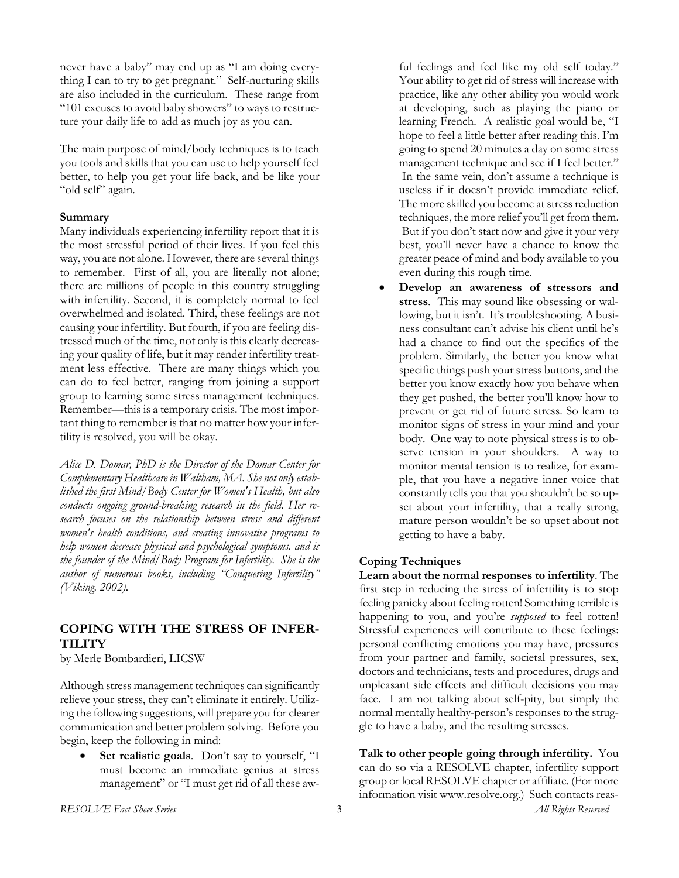never have a baby" may end up as "I am doing everything I can to try to get pregnant." Self-nurturing skills are also included in the curriculum. These range from "101 excuses to avoid baby showers" to ways to restructure your daily life to add as much joy as you can.

The main purpose of mind/body techniques is to teach you tools and skills that you can use to help yourself feel better, to help you get your life back, and be like your "old self" again.

# **Summary**

Many individuals experiencing infertility report that it is the most stressful period of their lives. If you feel this way, you are not alone. However, there are several things to remember. First of all, you are literally not alone; there are millions of people in this country struggling with infertility. Second, it is completely normal to feel overwhelmed and isolated. Third, these feelings are not causing your infertility. But fourth, if you are feeling distressed much of the time, not only is this clearly decreasing your quality of life, but it may render infertility treatment less effective. There are many things which you can do to feel better, ranging from joining a support group to learning some stress management techniques. Remember—this is a temporary crisis. The most important thing to remember is that no matter how your infertility is resolved, you will be okay.

*Alice D. Domar, PhD is the Director of the Domar Center for Complementary Healthcare in Waltham, MA. She not only established the first Mind/Body Center for Women's Health, but also conducts ongoing ground-breaking research in the field. Her research focuses on the relationship between stress and different women's health conditions, and creating innovative programs to help women decrease physical and psychological symptoms. and is the founder of the Mind/Body Program for Infertility. She is the author of numerous books, including "Conquering Infertility" (Viking, 2002).* 

# **COPING WITH THE STRESS OF INFER-TILITY**

by Merle Bombardieri, LICSW

Although stress management techniques can significantly relieve your stress, they can't eliminate it entirely. Utilizing the following suggestions, will prepare you for clearer communication and better problem solving. Before you begin, keep the following in mind:

Set realistic goals. Don't say to yourself, "I must become an immediate genius at stress management" or "I must get rid of all these awful feelings and feel like my old self today." Your ability to get rid of stress will increase with practice, like any other ability you would work at developing, such as playing the piano or learning French. A realistic goal would be, "I hope to feel a little better after reading this. I'm going to spend 20 minutes a day on some stress management technique and see if I feel better." In the same vein, don't assume a technique is useless if it doesn't provide immediate relief. The more skilled you become at stress reduction techniques, the more relief you'll get from them. But if you don't start now and give it your very best, you'll never have a chance to know the greater peace of mind and body available to you even during this rough time*.*

• **Develop an awareness of stressors and stress**. This may sound like obsessing or wallowing, but it isn't. It's troubleshooting. A business consultant can't advise his client until he's had a chance to find out the specifics of the problem. Similarly, the better you know what specific things push your stress buttons, and the better you know exactly how you behave when they get pushed, the better you'll know how to prevent or get rid of future stress. So learn to monitor signs of stress in your mind and your body. One way to note physical stress is to observe tension in your shoulders. A way to monitor mental tension is to realize, for example, that you have a negative inner voice that constantly tells you that you shouldn't be so upset about your infertility, that a really strong, mature person wouldn't be so upset about not getting to have a baby.

# **Coping Techniques**

**Learn about the normal responses to infertility**. The first step in reducing the stress of infertility is to stop feeling panicky about feeling rotten! Something terrible is happening to you, and you're *supposed* to feel rotten! Stressful experiences will contribute to these feelings: personal conflicting emotions you may have, pressures from your partner and family, societal pressures, sex, doctors and technicians, tests and procedures, drugs and unpleasant side effects and difficult decisions you may face. I am not talking about self-pity, but simply the normal mentally healthy-person's responses to the struggle to have a baby, and the resulting stresses.

**Talk to other people going through infertility.** You can do so via a RESOLVE chapter, infertility support group or local RESOLVE chapter or affiliate. (For more information visit www.resolve.org.) Such contacts reas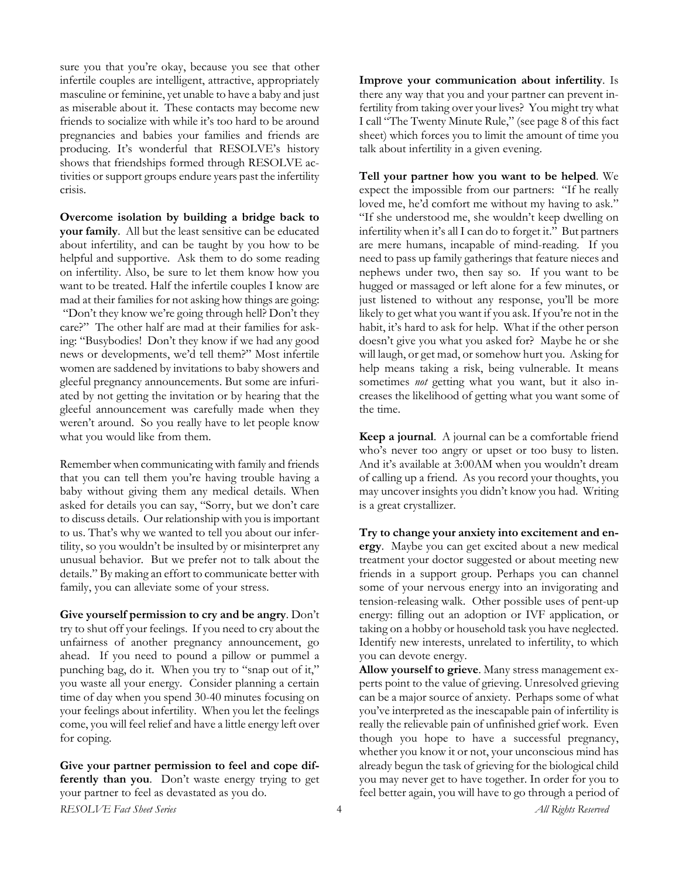sure you that you're okay, because you see that other infertile couples are intelligent, attractive, appropriately masculine or feminine, yet unable to have a baby and just as miserable about it. These contacts may become new friends to socialize with while it's too hard to be around pregnancies and babies your families and friends are producing. It's wonderful that RESOLVE's history shows that friendships formed through RESOLVE activities or support groups endure years past the infertility crisis.

**Overcome isolation by building a bridge back to your family**. All but the least sensitive can be educated about infertility, and can be taught by you how to be helpful and supportive. Ask them to do some reading on infertility. Also, be sure to let them know how you want to be treated. Half the infertile couples I know are mad at their families for not asking how things are going: "Don't they know we're going through hell? Don't they care?" The other half are mad at their families for asking: "Busybodies! Don't they know if we had any good news or developments, we'd tell them?" Most infertile women are saddened by invitations to baby showers and gleeful pregnancy announcements. But some are infuriated by not getting the invitation or by hearing that the gleeful announcement was carefully made when they weren't around. So you really have to let people know what you would like from them.

Remember when communicating with family and friends that you can tell them you're having trouble having a baby without giving them any medical details. When asked for details you can say, "Sorry, but we don't care to discuss details. Our relationship with you is important to us. That's why we wanted to tell you about our infertility, so you wouldn't be insulted by or misinterpret any unusual behavior. But we prefer not to talk about the details." By making an effort to communicate better with family, you can alleviate some of your stress.

**Give yourself permission to cry and be angry**. Don't try to shut off your feelings. If you need to cry about the unfairness of another pregnancy announcement, go ahead. If you need to pound a pillow or pummel a punching bag, do it. When you try to "snap out of it," you waste all your energy. Consider planning a certain time of day when you spend 30-40 minutes focusing on your feelings about infertility. When you let the feelings come, you will feel relief and have a little energy left over for coping.

*RESOLVE Fact Sheet Series All Rights Reserved* 4 **Give your partner permission to feel and cope differently than you**. Don't waste energy trying to get your partner to feel as devastated as you do.

**Improve your communication about infertility**. Is there any way that you and your partner can prevent infertility from taking over your lives? You might try what I call "The Twenty Minute Rule," (see page 8 of this fact sheet) which forces you to limit the amount of time you talk about infertility in a given evening.

**Tell your partner how you want to be helped**. We expect the impossible from our partners: "If he really loved me, he'd comfort me without my having to ask." "If she understood me, she wouldn't keep dwelling on infertility when it's all I can do to forget it." But partners are mere humans, incapable of mind-reading. If you need to pass up family gatherings that feature nieces and nephews under two, then say so. If you want to be hugged or massaged or left alone for a few minutes, or just listened to without any response, you'll be more likely to get what you want if you ask. If you're not in the habit, it's hard to ask for help. What if the other person doesn't give you what you asked for? Maybe he or she will laugh, or get mad, or somehow hurt you. Asking for help means taking a risk, being vulnerable. It means sometimes *not* getting what you want, but it also increases the likelihood of getting what you want some of the time.

**Keep a journal**. A journal can be a comfortable friend who's never too angry or upset or too busy to listen. And it's available at 3:00AM when you wouldn't dream of calling up a friend. As you record your thoughts, you may uncover insights you didn't know you had. Writing is a great crystallizer.

**Try to change your anxiety into excitement and energy**. Maybe you can get excited about a new medical treatment your doctor suggested or about meeting new friends in a support group. Perhaps you can channel some of your nervous energy into an invigorating and tension-releasing walk. Other possible uses of pent-up energy: filling out an adoption or IVF application, or taking on a hobby or household task you have neglected. Identify new interests, unrelated to infertility, to which you can devote energy.

**Allow yourself to grieve**. Many stress management experts point to the value of grieving. Unresolved grieving can be a major source of anxiety. Perhaps some of what you've interpreted as the inescapable pain of infertility is really the relievable pain of unfinished grief work. Even though you hope to have a successful pregnancy, whether you know it or not, your unconscious mind has already begun the task of grieving for the biological child you may never get to have together. In order for you to feel better again, you will have to go through a period of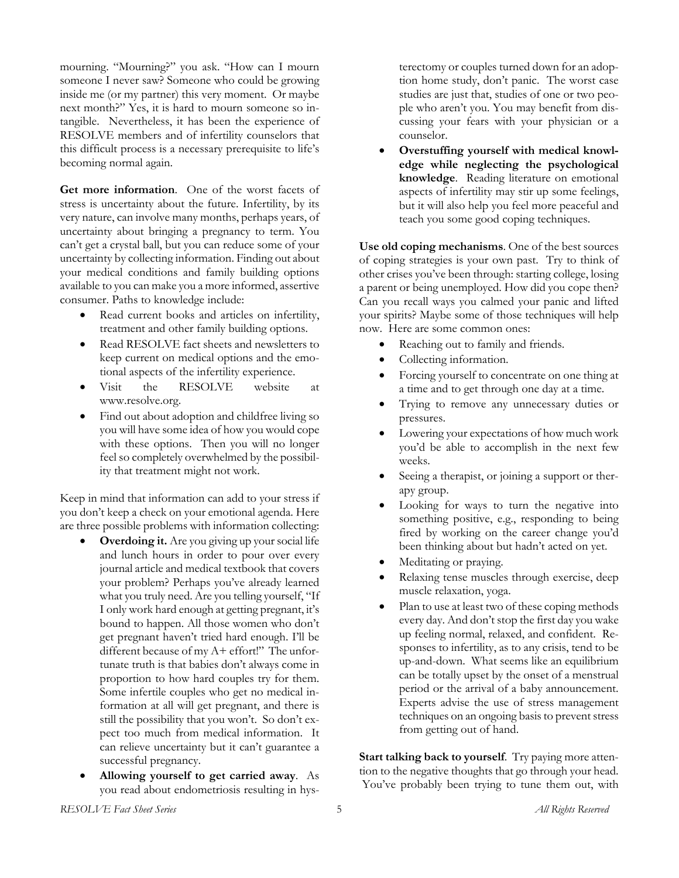mourning. "Mourning?" you ask. "How can I mourn someone I never saw? Someone who could be growing inside me (or my partner) this very moment. Or maybe next month?" Yes, it is hard to mourn someone so intangible. Nevertheless, it has been the experience of RESOLVE members and of infertility counselors that this difficult process is a necessary prerequisite to life's becoming normal again.

**Get more information**. One of the worst facets of stress is uncertainty about the future. Infertility, by its very nature, can involve many months, perhaps years, of uncertainty about bringing a pregnancy to term. You can't get a crystal ball, but you can reduce some of your uncertainty by collecting information. Finding out about your medical conditions and family building options available to you can make you a more informed, assertive consumer. Paths to knowledge include:

- Read current books and articles on infertility, treatment and other family building options.
- Read RESOLVE fact sheets and newsletters to keep current on medical options and the emotional aspects of the infertility experience.
- Visit the RESOLVE website at www.resolve.org.
- Find out about adoption and childfree living so you will have some idea of how you would cope with these options. Then you will no longer feel so completely overwhelmed by the possibility that treatment might not work.

Keep in mind that information can add to your stress if you don't keep a check on your emotional agenda. Here are three possible problems with information collecting:

- **Overdoing it.** Are you giving up your social life and lunch hours in order to pour over every journal article and medical textbook that covers your problem? Perhaps you've already learned what you truly need. Are you telling yourself, "If I only work hard enough at getting pregnant, it's bound to happen. All those women who don't get pregnant haven't tried hard enough. I'll be different because of my A+ effort!" The unfortunate truth is that babies don't always come in proportion to how hard couples try for them. Some infertile couples who get no medical information at all will get pregnant, and there is still the possibility that you won't. So don't expect too much from medical information. It can relieve uncertainty but it can't guarantee a successful pregnancy.
- **Allowing yourself to get carried away**. As you read about endometriosis resulting in hys-

terectomy or couples turned down for an adoption home study, don't panic. The worst case studies are just that, studies of one or two people who aren't you. You may benefit from discussing your fears with your physician or a counselor.

• **Overstuffing yourself with medical knowledge while neglecting the psychological knowledge**. Reading literature on emotional aspects of infertility may stir up some feelings, but it will also help you feel more peaceful and teach you some good coping techniques.

**Use old coping mechanisms**. One of the best sources of coping strategies is your own past. Try to think of other crises you've been through: starting college, losing a parent or being unemployed. How did you cope then? Can you recall ways you calmed your panic and lifted your spirits? Maybe some of those techniques will help now. Here are some common ones:

- Reaching out to family and friends.
- Collecting information.
- Forcing yourself to concentrate on one thing at a time and to get through one day at a time.
- Trying to remove any unnecessary duties or pressures.
- Lowering your expectations of how much work you'd be able to accomplish in the next few weeks.
- Seeing a therapist, or joining a support or therapy group.
- Looking for ways to turn the negative into something positive, e.g., responding to being fired by working on the career change you'd been thinking about but hadn't acted on yet.
- Meditating or praying.
- Relaxing tense muscles through exercise, deep muscle relaxation, yoga.
- Plan to use at least two of these coping methods every day. And don't stop the first day you wake up feeling normal, relaxed, and confident. Responses to infertility, as to any crisis, tend to be up-and-down. What seems like an equilibrium can be totally upset by the onset of a menstrual period or the arrival of a baby announcement. Experts advise the use of stress management techniques on an ongoing basis to prevent stress from getting out of hand.

**Start talking back to yourself**. Try paying more attention to the negative thoughts that go through your head. You've probably been trying to tune them out, with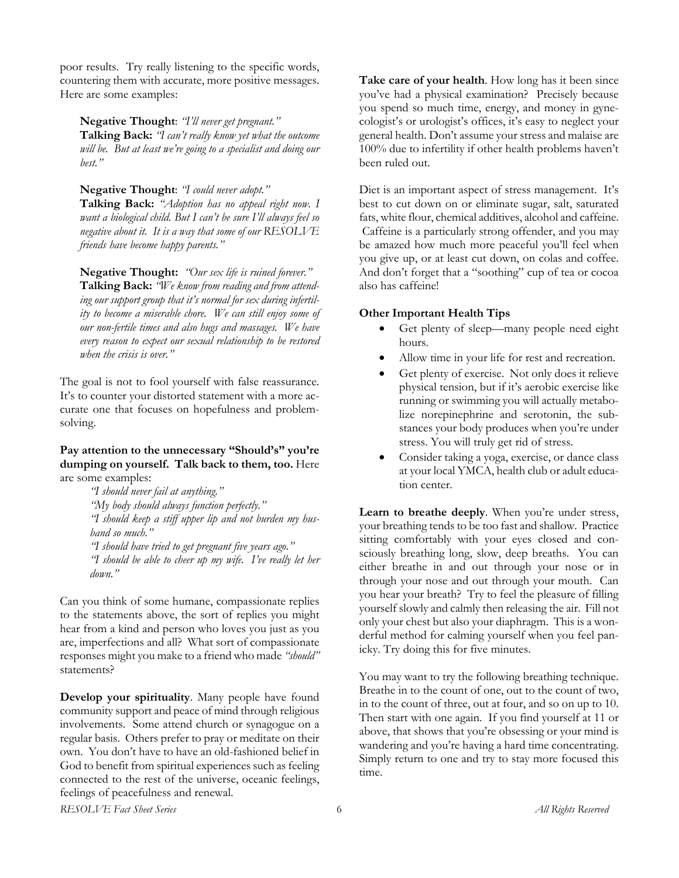poor results. Try really listening to the specific words, countering them with accurate, more positive messages. Here are some examples:

**Negative Thought**: *"I'll never get pregnant."* **Talking Back:** *"I can't really know yet what the outcome will be. But at least we're going to a specialist and doing our best."* 

**Negative Thought**: *"I could never adopt."*

**Talking Back:** *"Adoption has no appeal right now. I want a biological child. But I can't be sure I'll always feel so negative about it. It is a way that some of our RESOLVE friends have become happy parents."* 

**Negative Thought:** *"Our sex life is ruined forever."* **Talking Back:** *"We know from reading and from attending our support group that it's normal for sex during infertility to become a miserable chore. We can still enjoy some of our non-fertile times and also hugs and massages. We have every reason to expect our sexual relationship to be restored when the crisis is over."*

The goal is not to fool yourself with false reassurance. It's to counter your distorted statement with a more accurate one that focuses on hopefulness and problemsolving.

# **Pay attention to the unnecessary "Should's" you're dumping on yourself. Talk back to them, too.** Here are some examples:

*"I should never fail at anything." "My body should always function perfectly." "I should keep a stiff upper lip and not burden my husband so much." "I should have tried to get pregnant five years ago." "I should be able to cheer up my wife. I've really let her down."* 

Can you think of some humane, compassionate replies to the statements above, the sort of replies you might hear from a kind and person who loves you just as you are, imperfections and all? What sort of compassionate responses might you make to a friend who made *"should"* statements?

**Develop your spirituality**. Many people have found community support and peace of mind through religious involvements. Some attend church or synagogue on a regular basis. Others prefer to pray or meditate on their own. You don't have to have an old-fashioned belief in God to benefit from spiritual experiences such as feeling connected to the rest of the universe, oceanic feelings, feelings of peacefulness and renewal.

**Take care of your health**. How long has it been since you've had a physical examination? Precisely because you spend so much time, energy, and money in gynecologist's or urologist's offices, it's easy to neglect your general health. Don't assume your stress and malaise are 100% due to infertility if other health problems haven't been ruled out.

Diet is an important aspect of stress management. It's best to cut down on or eliminate sugar, salt, saturated fats, white flour, chemical additives, alcohol and caffeine. Caffeine is a particularly strong offender, and you may be amazed how much more peaceful you'll feel when you give up, or at least cut down, on colas and coffee. And don't forget that a "soothing" cup of tea or cocoa also has caffeine!

# **Other Important Health Tips**

- Get plenty of sleep—many people need eight hours.
- Allow time in your life for rest and recreation.
- Get plenty of exercise. Not only does it relieve physical tension, but if it's aerobic exercise like running or swimming you will actually metabolize norepinephrine and serotonin, the substances your body produces when you're under stress. You will truly get rid of stress.
- Consider taking a yoga, exercise, or dance class at your local YMCA, health club or adult education center.

**Learn to breathe deeply**. When you're under stress, your breathing tends to be too fast and shallow. Practice sitting comfortably with your eyes closed and consciously breathing long, slow, deep breaths. You can either breathe in and out through your nose or in through your nose and out through your mouth. Can you hear your breath? Try to feel the pleasure of filling yourself slowly and calmly then releasing the air. Fill not only your chest but also your diaphragm. This is a wonderful method for calming yourself when you feel panicky. Try doing this for five minutes.

You may want to try the following breathing technique. Breathe in to the count of one, out to the count of two, in to the count of three, out at four, and so on up to 10. Then start with one again. If you find yourself at 11 or above, that shows that you're obsessing or your mind is wandering and you're having a hard time concentrating. Simply return to one and try to stay more focused this time.

*RESOLVE Fact Sheet Series All Rights Reserved* 6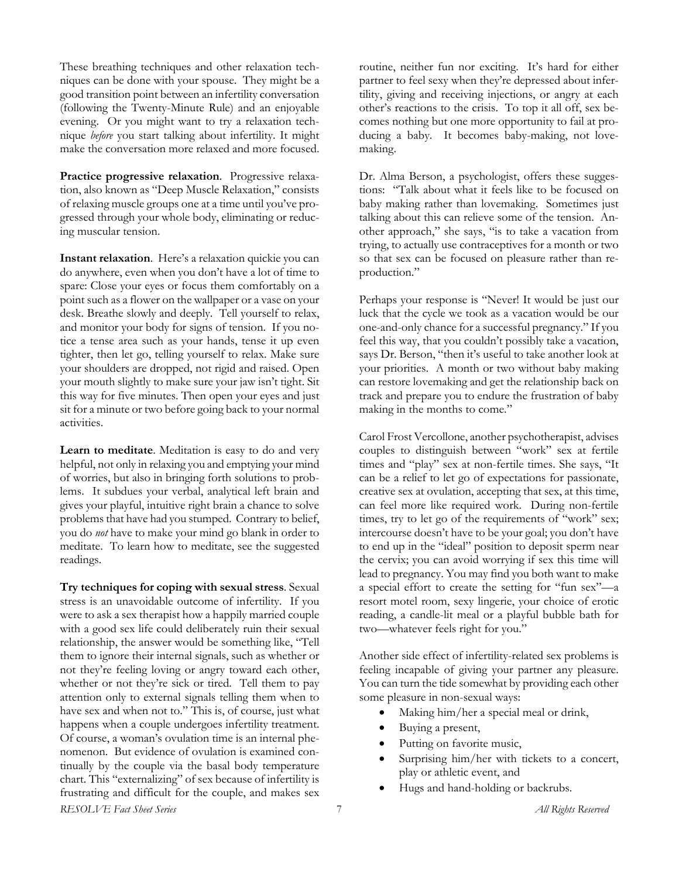These breathing techniques and other relaxation techniques can be done with your spouse. They might be a good transition point between an infertility conversation (following the Twenty-Minute Rule) and an enjoyable evening. Or you might want to try a relaxation technique *before* you start talking about infertility. It might make the conversation more relaxed and more focused.

**Practice progressive relaxation**. Progressive relaxation, also known as "Deep Muscle Relaxation," consists of relaxing muscle groups one at a time until you've progressed through your whole body, eliminating or reducing muscular tension.

**Instant relaxation**. Here's a relaxation quickie you can do anywhere, even when you don't have a lot of time to spare: Close your eyes or focus them comfortably on a point such as a flower on the wallpaper or a vase on your desk. Breathe slowly and deeply. Tell yourself to relax, and monitor your body for signs of tension. If you notice a tense area such as your hands, tense it up even tighter, then let go, telling yourself to relax. Make sure your shoulders are dropped, not rigid and raised. Open your mouth slightly to make sure your jaw isn't tight. Sit this way for five minutes. Then open your eyes and just sit for a minute or two before going back to your normal activities.

**Learn to meditate**. Meditation is easy to do and very helpful, not only in relaxing you and emptying your mind of worries, but also in bringing forth solutions to problems. It subdues your verbal, analytical left brain and gives your playful, intuitive right brain a chance to solve problems that have had you stumped. Contrary to belief, you do *not* have to make your mind go blank in order to meditate. To learn how to meditate, see the suggested readings.

*RESOLVE Fact Sheet Series All Rights Reserved* 7 **Try techniques for coping with sexual stress**. Sexual stress is an unavoidable outcome of infertility. If you were to ask a sex therapist how a happily married couple with a good sex life could deliberately ruin their sexual relationship, the answer would be something like, "Tell them to ignore their internal signals, such as whether or not they're feeling loving or angry toward each other, whether or not they're sick or tired. Tell them to pay attention only to external signals telling them when to have sex and when not to." This is, of course, just what happens when a couple undergoes infertility treatment. Of course, a woman's ovulation time is an internal phenomenon. But evidence of ovulation is examined continually by the couple via the basal body temperature chart. This "externalizing" of sex because of infertility is frustrating and difficult for the couple, and makes sex

routine, neither fun nor exciting. It's hard for either partner to feel sexy when they're depressed about infertility, giving and receiving injections, or angry at each other's reactions to the crisis. To top it all off, sex becomes nothing but one more opportunity to fail at producing a baby. It becomes baby-making, not lovemaking.

Dr. Alma Berson, a psychologist, offers these suggestions: "Talk about what it feels like to be focused on baby making rather than lovemaking. Sometimes just talking about this can relieve some of the tension. Another approach," she says, "is to take a vacation from trying, to actually use contraceptives for a month or two so that sex can be focused on pleasure rather than reproduction."

Perhaps your response is "Never! It would be just our luck that the cycle we took as a vacation would be our one-and-only chance for a successful pregnancy." If you feel this way, that you couldn't possibly take a vacation, says Dr. Berson, "then it's useful to take another look at your priorities. A month or two without baby making can restore lovemaking and get the relationship back on track and prepare you to endure the frustration of baby making in the months to come."

Carol Frost Vercollone, another psychotherapist, advises couples to distinguish between "work" sex at fertile times and "play" sex at non-fertile times. She says, "It can be a relief to let go of expectations for passionate, creative sex at ovulation, accepting that sex, at this time, can feel more like required work. During non-fertile times, try to let go of the requirements of "work" sex; intercourse doesn't have to be your goal; you don't have to end up in the "ideal" position to deposit sperm near the cervix; you can avoid worrying if sex this time will lead to pregnancy. You may find you both want to make a special effort to create the setting for "fun sex"—a resort motel room, sexy lingerie, your choice of erotic reading, a candle-lit meal or a playful bubble bath for two—whatever feels right for you."

Another side effect of infertility-related sex problems is feeling incapable of giving your partner any pleasure. You can turn the tide somewhat by providing each other some pleasure in non-sexual ways:

- Making him/her a special meal or drink,
- Buying a present,
- Putting on favorite music,
- Surprising him/her with tickets to a concert, play or athletic event, and
- Hugs and hand-holding or backrubs.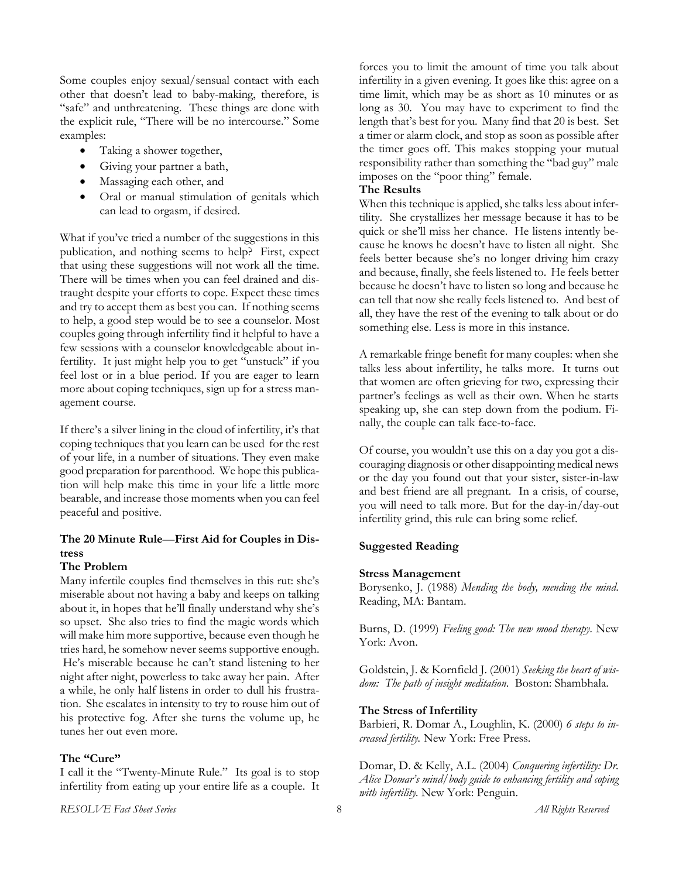Some couples enjoy sexual/sensual contact with each other that doesn't lead to baby-making, therefore, is "safe" and unthreatening. These things are done with the explicit rule, "There will be no intercourse." Some examples:

- Taking a shower together,
- Giving your partner a bath,
- Massaging each other, and
- Oral or manual stimulation of genitals which can lead to orgasm, if desired.

What if you've tried a number of the suggestions in this publication, and nothing seems to help? First, expect that using these suggestions will not work all the time. There will be times when you can feel drained and distraught despite your efforts to cope. Expect these times and try to accept them as best you can. If nothing seems to help, a good step would be to see a counselor. Most couples going through infertility find it helpful to have a few sessions with a counselor knowledgeable about infertility. It just might help you to get "unstuck" if you feel lost or in a blue period. If you are eager to learn more about coping techniques, sign up for a stress management course.

If there's a silver lining in the cloud of infertility, it's that coping techniques that you learn can be used for the rest of your life, in a number of situations. They even make good preparation for parenthood. We hope this publication will help make this time in your life a little more bearable, and increase those moments when you can feel peaceful and positive.

# **The 20 Minute Rule**—**First Aid for Couples in Distress**

# **The Problem**

Many infertile couples find themselves in this rut: she's miserable about not having a baby and keeps on talking about it, in hopes that he'll finally understand why she's so upset. She also tries to find the magic words which will make him more supportive, because even though he tries hard, he somehow never seems supportive enough. He's miserable because he can't stand listening to her night after night, powerless to take away her pain. After a while, he only half listens in order to dull his frustration. She escalates in intensity to try to rouse him out of his protective fog. After she turns the volume up, he tunes her out even more.

# **The "Cure"**

I call it the "Twenty-Minute Rule." Its goal is to stop infertility from eating up your entire life as a couple. It forces you to limit the amount of time you talk about infertility in a given evening. It goes like this: agree on a time limit, which may be as short as 10 minutes or as long as 30. You may have to experiment to find the length that's best for you. Many find that 20 is best. Set a timer or alarm clock, and stop as soon as possible after the timer goes off. This makes stopping your mutual responsibility rather than something the "bad guy" male imposes on the "poor thing" female.

# **The Results**

When this technique is applied, she talks less about infertility. She crystallizes her message because it has to be quick or she'll miss her chance. He listens intently because he knows he doesn't have to listen all night. She feels better because she's no longer driving him crazy and because, finally, she feels listened to. He feels better because he doesn't have to listen so long and because he can tell that now she really feels listened to. And best of all, they have the rest of the evening to talk about or do something else. Less is more in this instance.

A remarkable fringe benefit for many couples: when she talks less about infertility, he talks more. It turns out that women are often grieving for two, expressing their partner's feelings as well as their own. When he starts speaking up, she can step down from the podium. Finally, the couple can talk face-to-face.

Of course, you wouldn't use this on a day you got a discouraging diagnosis or other disappointing medical news or the day you found out that your sister, sister-in-law and best friend are all pregnant. In a crisis, of course, you will need to talk more. But for the day-in/day-out infertility grind, this rule can bring some relief.

# **Suggested Reading**

### **Stress Management**

Borysenko, J. (1988) *Mending the body, mending the mind*. Reading, MA: Bantam.

Burns, D. (1999) *Feeling good: The new mood therapy.* New York: Avon.

Goldstein, J. & Kornfield J. (2001) *Seeking the heart of wisdom: The path of insight meditation*. Boston: Shambhala.

# **The Stress of Infertility**

Barbieri, R. Domar A., Loughlin, K. (2000) *6 steps to increased fertility.* New York: Free Press.

Domar, D. & Kelly, A.L. (2004) *Conquering infertility: Dr. Alice Domar's mind/body guide to enhancing fertility and coping with infertility.* New York: Penguin.

*RESOLVE Fact Sheet Series All Rights Reserved* 8